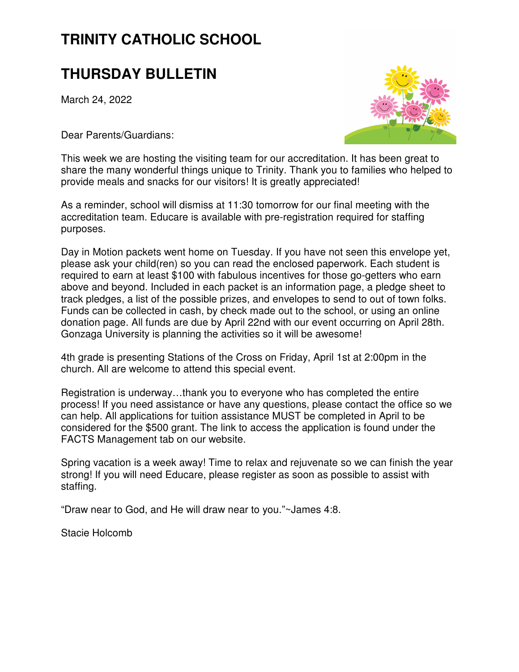# **TRINITY CATHOLIC SCHOOL**

## **THURSDAY BULLETIN**

March 24, 2022

Dear Parents/Guardians:



This week we are hosting the visiting team for our accreditation. It has been great to share the many wonderful things unique to Trinity. Thank you to families who helped to provide meals and snacks for our visitors! It is greatly appreciated!

As a reminder, school will dismiss at 11:30 tomorrow for our final meeting with the accreditation team. Educare is available with pre-registration required for staffing purposes.

Day in Motion packets went home on Tuesday. If you have not seen this envelope yet, please ask your child(ren) so you can read the enclosed paperwork. Each student is required to earn at least \$100 with fabulous incentives for those go-getters who earn above and beyond. Included in each packet is an information page, a pledge sheet to track pledges, a list of the possible prizes, and envelopes to send to out of town folks. Funds can be collected in cash, by check made out to the school, or using an online donation page. All funds are due by April 22nd with our event occurring on April 28th. Gonzaga University is planning the activities so it will be awesome!

4th grade is presenting Stations of the Cross on Friday, April 1st at 2:00pm in the church. All are welcome to attend this special event.

Registration is underway…thank you to everyone who has completed the entire process! If you need assistance or have any questions, please contact the office so we can help. All applications for tuition assistance MUST be completed in April to be considered for the \$500 grant. The link to access the application is found under the FACTS Management tab on our website.

Spring vacation is a week away! Time to relax and rejuvenate so we can finish the year strong! If you will need Educare, please register as soon as possible to assist with staffing.

"Draw near to God, and He will draw near to you."~James 4:8.

Stacie Holcomb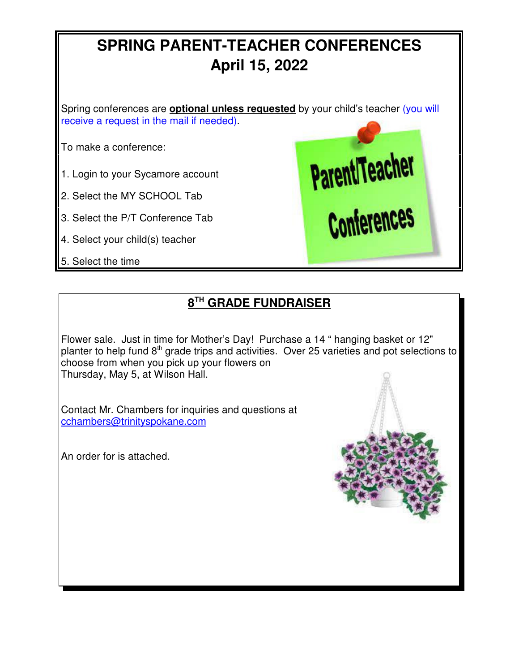# **SPRING PARENT-TEACHER CONFERENCES April 15, 2022**

Spring conferences are **optional unless requested** by your child's teacher (you will receive a request in the mail if needed).

To make a conference:

- 1. Login to your Sycamore account
- 2. Select the MY SCHOOL Tab
- 3. Select the P/T Conference Tab
- 4. Select your child(s) teacher
- 5. Select the time



## **8 TH GRADE FUNDRAISER**

Flower sale. Just in time for Mother's Day! Purchase a 14 " hanging basket or 12" planter to help fund  $8<sup>th</sup>$  grade trips and activities. Over 25 varieties and pot selections to choose from when you pick up your flowers on Thursday, May 5, at Wilson Hall.

Contact Mr. Chambers for inquiries and questions at cchambers@trinityspokane.com

An order for is attached.

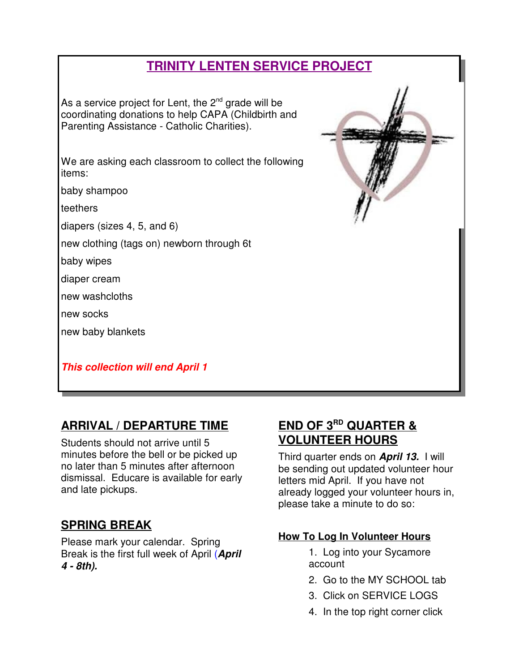## **TRINITY LENTEN SERVICE PROJECT**

As a service project for Lent, the  $2<sup>nd</sup>$  grade will be coordinating donations to help CAPA (Childbirth and Parenting Assistance - Catholic Charities).

We are asking each classroom to collect the following items:

baby shampoo

teethers

diapers (sizes 4, 5, and 6)

new clothing (tags on) newborn through 6t

baby wipes

diaper cream

new washcloths

new socks

new baby blankets

**This collection will end April 1**

## **ARRIVAL / DEPARTURE TIME**

Students should not arrive until 5 minutes before the bell or be picked up no later than 5 minutes after afternoon dismissal. Educare is available for early and late pickups.

### **SPRING BREAK**

Please mark your calendar. Spring Break is the first full week of April (**April 4 - 8th).** 

### **END OF 3RD QUARTER & VOLUNTEER HOURS**

Third quarter ends on **April 13.** I will be sending out updated volunteer hour letters mid April. If you have not already logged your volunteer hours in, please take a minute to do so:

#### **How To Log In Volunteer Hours**

- 1. Log into your Sycamore account
- 2. Go to the MY SCHOOL tab
- 3. Click on SERVICE LOGS
- 4. In the top right corner click